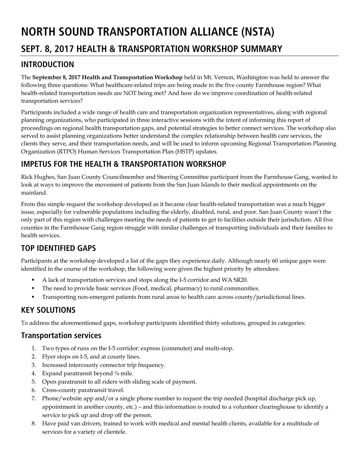# **NORTH SOUND TRANSPORTATION ALLIANCE (NSTA)**

# **SEPT. 8, 2017 HEALTH & TRANSPORTATION WORKSHOP SUMMARY**

### **INTRODUCTION**

The **September 8, 2017 Health and Transportation Workshop** held in Mt. Vernon, Washington was held to answer the following three questions: What healthcare-related trips are being made in the five county Farmhouse region? What health-related transportation needs are NOT being met? And how do we improve coordination of health-related transportation services?

Participants included a wide range of health care and transportation organization representatives, along with regional planning organizations, who participated in three interactive sessions with the intent of informing this report of proceedings on regional health transportation gaps, and potential strategies to better connect services. The workshop also served to assist planning organizations better understand the complex relationship between health care services, the clients they serve, and their transportation needs, and will be used to inform upcoming Regional Transportation Planning Organization (RTPO) Human Services Transportation Plan (HSTP) updates.

# **IMPETUS FOR THE HEALTH & TRANSPORTATION WORKSHOP**

Rick Hughes, San Juan County Councilmember and Steering Committee participant from the Farmhouse Gang, wanted to look at ways to improve the movement of patients from the San Juan Islands to their medical appointments on the mainland.

From this simple request the workshop developed as it became clear health-related transportation was a much bigger issue, especially for vulnerable populations including the elderly, disabled, rural, and poor. San Juan County wasn't the only part of this region with challenges meeting the needs of patients to get to facilities outside their jurisdiction. All five counties in the Farmhouse Gang region struggle with similar challenges of transporting individuals and their families to health services.

# **TOP IDENTIFIED GAPS**

Participants at the workshop developed a list of the gaps they experience daily. Although nearly 60 unique gaps were identified in the course of the workshop, the following were given the highest priority by attendees:

- A lack of transportation services and stops along the I-5 corridor and WA SR20.
- The need to provide basic services (Food, medical, pharmacy) to rural communities.
- Transporting non-emergent patients from rural areas to health care across county/jurisdictional lines.

# **KEY SOLUTIONS**

To address the aforementioned gaps, workshop participants identified thirty solutions, grouped in categories:

# **Transportation services**

- 1. Two types of runs on the I-5 corridor: express (commuter) and multi-stop.
- 2. Flyer stops on I-5, and at county lines.
- 3. Increased intercounty connector trip frequency.
- 4. Expand paratransit beyond ¾ mile.
- 5. Open paratransit to all riders with sliding scale of payment.
- 6. Cross-county paratransit travel.
- 7. Phone/website app and/or a single phone number to request the trip needed (hospital discharge pick up, appointment in another county, etc.) – and this information is routed to a volunteer clearinghouse to identify a service to pick up and drop off the person.
- 8. Have paid van drivers, trained to work with medical and mental health clients, available for a multitude of services for a variety of clientele.